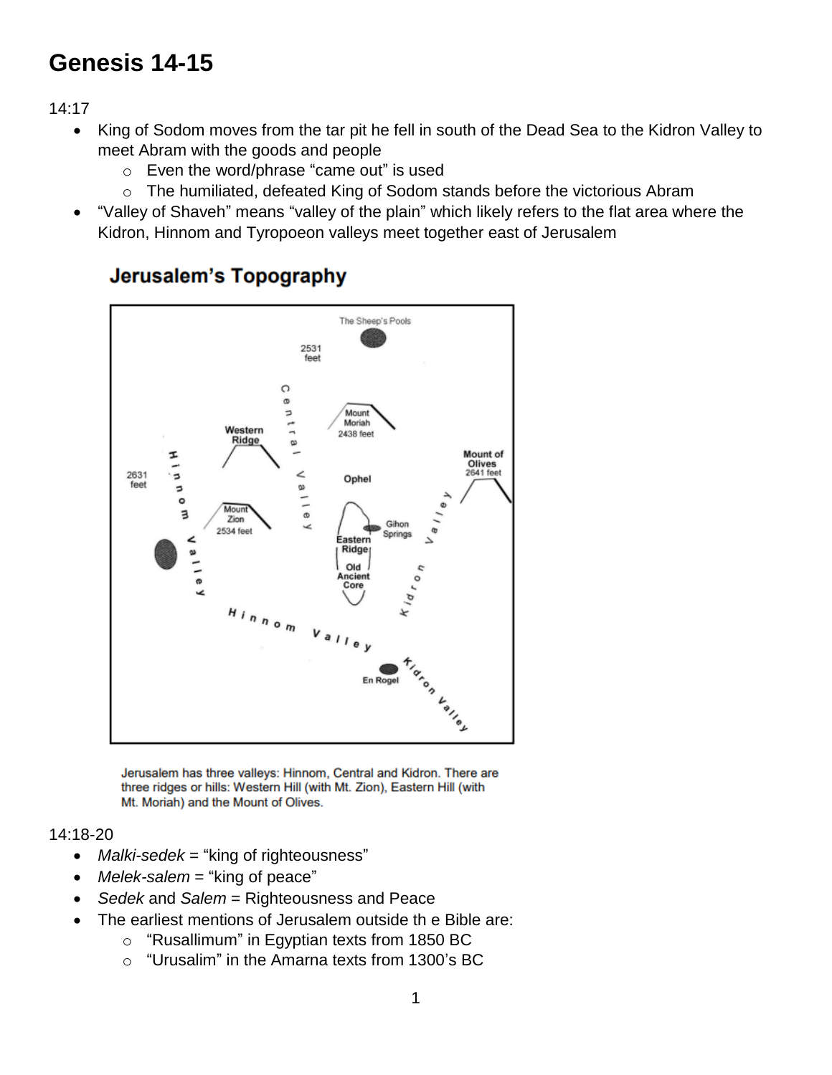## **Genesis 14-15**

14:17

- King of Sodom moves from the tar pit he fell in south of the Dead Sea to the Kidron Valley to meet Abram with the goods and people
	- o Even the word/phrase "came out" is used
	- o The humiliated, defeated King of Sodom stands before the victorious Abram
- "Valley of Shaveh" means "valley of the plain" which likely refers to the flat area where the Kidron, Hinnom and Tyropoeon valleys meet together east of Jerusalem



## Jerusalem's Topography

Jerusalem has three valleys: Hinnom, Central and Kidron. There are three ridges or hills: Western Hill (with Mt. Zion), Eastern Hill (with Mt. Moriah) and the Mount of Olives.

## 14:18-20

- *Malki-sedek* = "king of righteousness"
- *Melek-salem* = "king of peace"
- *Sedek* and *Salem* = Righteousness and Peace
- The earliest mentions of Jerusalem outside th e Bible are:
	- o "Rusallimum" in Egyptian texts from 1850 BC
	- o "Urusalim" in the Amarna texts from 1300's BC